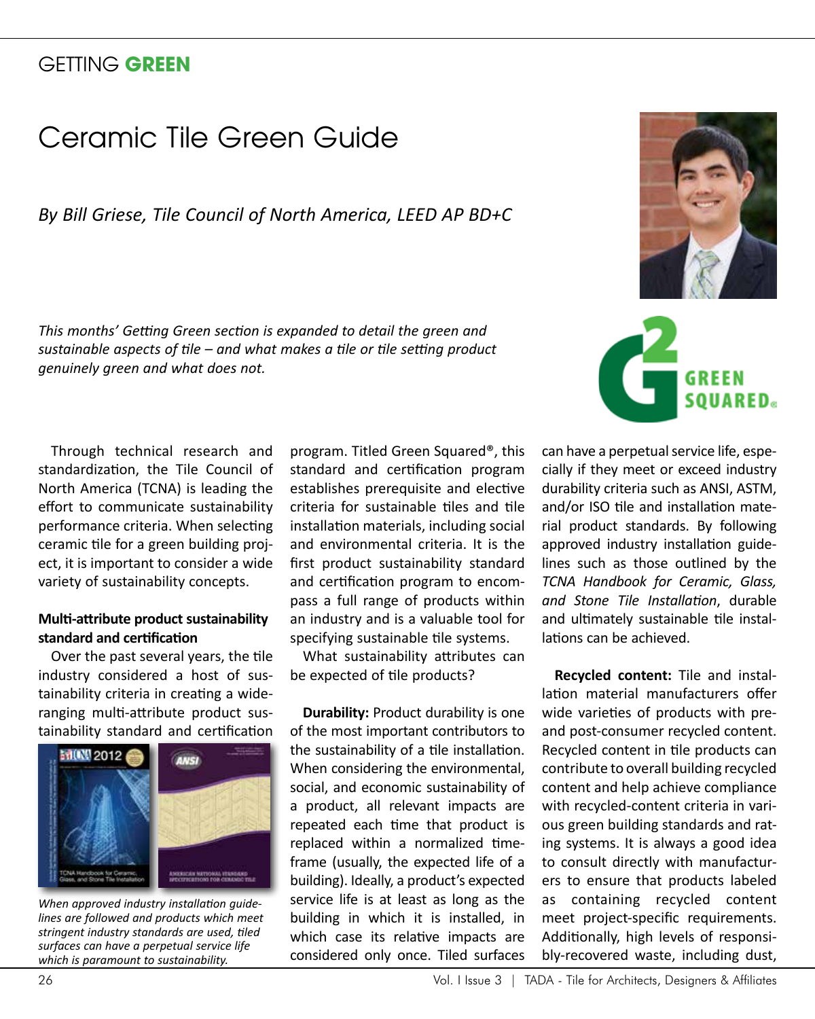## GETTING **GREEN**

## Ceramic Tile Green Guide

*By Bill Griese, Tile Council of North America, LEED AP BD+C*

*This months' Getting Green section is expanded to detail the green and sustainable aspects of tile – and what makes a tile or tile setting product genuinely green and what does not.* 

Through technical research and standardization, the Tile Council of North America (TCNA) is leading the effort to communicate sustainability performance criteria. When selecting ceramic tile for a green building project, it is important to consider a wide variety of sustainability concepts.

## **Multi-attribute product sustainability standard and certification**

Over the past several years, the tile industry considered a host of sustainability criteria in creating a wideranging multi-attribute product sustainability standard and certification



*When approved industry installation guidelines are followed and products which meet stringent industry standards are used, tiled surfaces can have a perpetual service life which is paramount to sustainability.*

program. Titled Green Squared®, this standard and certification program establishes prerequisite and elective criteria for sustainable tiles and tile installation materials, including social and environmental criteria. It is the first product sustainability standard and certification program to encompass a full range of products within an industry and is a valuable tool for specifying sustainable tile systems.

What sustainability attributes can be expected of tile products?

**Durability: Product durability is one** of the most important contributors to the sustainability of a tile installation. When considering the environmental, social, and economic sustainability of a product, all relevant impacts are repeated each time that product is replaced within a normalized timeframe (usually, the expected life of a building). Ideally, a product's expected service life is at least as long as the building in which it is installed, in which case its relative impacts are considered only once. Tiled surfaces





can have a perpetual service life, especially if they meet or exceed industry durability criteria such as ANSI, ASTM, and/or ISO tile and installation material product standards. By following approved industry installation guidelines such as those outlined by the *TCNA Handbook for Ceramic, Glass, and Stone Tile Installation*, durable and ultimately sustainable tile installations can be achieved.

**Recycled content:** Tile and installation material manufacturers offer wide varieties of products with preand post-consumer recycled content. Recycled content in tile products can contribute to overall building recycled content and help achieve compliance with recycled-content criteria in various green building standards and rating systems. It is always a good idea to consult directly with manufacturers to ensure that products labeled as containing recycled content meet project-specific requirements. Additionally, high levels of responsibly-recovered waste, including dust,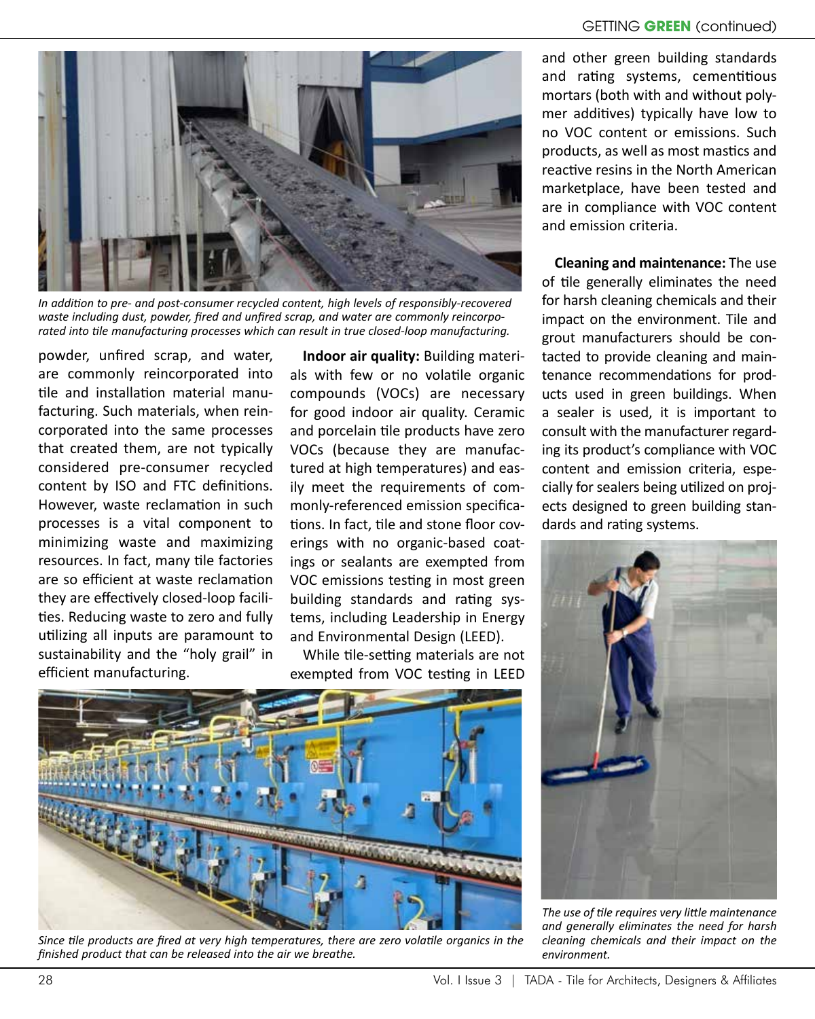

*In addition to pre- and post-consumer recycled content, high levels of responsibly-recovered waste including dust, powder, fired and unfired scrap, and water are commonly reincorporated into tile manufacturing processes which can result in true closed-loop manufacturing.* 

powder, unfired scrap, and water, are commonly reincorporated into tile and installation material manufacturing. Such materials, when reincorporated into the same processes that created them, are not typically considered pre-consumer recycled content by ISO and FTC definitions. However, waste reclamation in such processes is a vital component to minimizing waste and maximizing resources. In fact, many tile factories are so efficient at waste reclamation they are effectively closed-loop facilities. Reducing waste to zero and fully utilizing all inputs are paramount to sustainability and the "holy grail" in efficient manufacturing.

**Indoor air quality:** Building materials with few or no volatile organic compounds (VOCs) are necessary for good indoor air quality. Ceramic and porcelain tile products have zero VOCs (because they are manufactured at high temperatures) and easily meet the requirements of commonly-referenced emission specifications. In fact, tile and stone floor coverings with no organic-based coatings or sealants are exempted from VOC emissions testing in most green building standards and rating systems, including Leadership in Energy and Environmental Design (LEED).

While tile-setting materials are not exempted from VOC testing in LEED



*Since tile products are fired at very high temperatures, there are zero volatile organics in the finished product that can be released into the air we breathe.*

and other green building standards and rating systems, cementitious mortars (both with and without polymer additives) typically have low to no VOC content or emissions. Such products, as well as most mastics and reactive resins in the North American marketplace, have been tested and are in compliance with VOC content and emission criteria.

**Cleaning and maintenance:** The use of tile generally eliminates the need for harsh cleaning chemicals and their impact on the environment. Tile and grout manufacturers should be contacted to provide cleaning and maintenance recommendations for products used in green buildings. When a sealer is used, it is important to consult with the manufacturer regarding its product's compliance with VOC content and emission criteria, especially for sealers being utilized on projects designed to green building standards and rating systems.



*The use of tile requires very little maintenance and generally eliminates the need for harsh cleaning chemicals and their impact on the environment.*